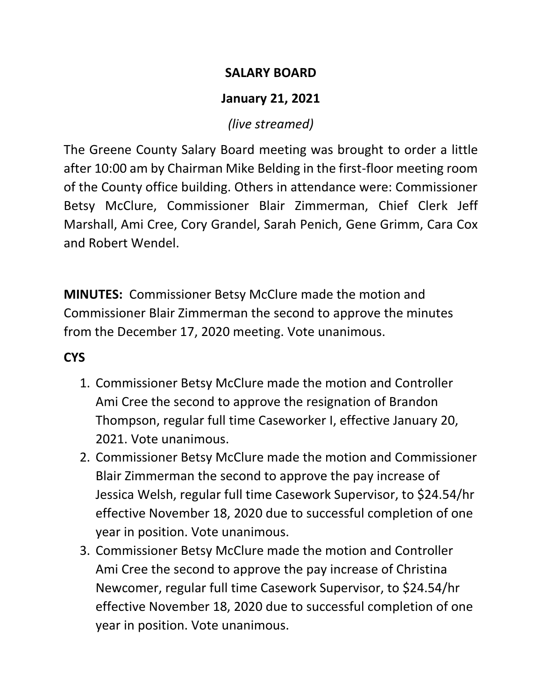### **SALARY BOARD**

# **January 21, 2021**

# *(live streamed)*

The Greene County Salary Board meeting was brought to order a little after 10:00 am by Chairman Mike Belding in the first-floor meeting room of the County office building. Others in attendance were: Commissioner Betsy McClure, Commissioner Blair Zimmerman, Chief Clerk Jeff Marshall, Ami Cree, Cory Grandel, Sarah Penich, Gene Grimm, Cara Cox and Robert Wendel.

**MINUTES:** Commissioner Betsy McClure made the motion and Commissioner Blair Zimmerman the second to approve the minutes from the December 17, 2020 meeting. Vote unanimous.

# **CYS**

- 1. Commissioner Betsy McClure made the motion and Controller Ami Cree the second to approve the resignation of Brandon Thompson, regular full time Caseworker I, effective January 20, 2021. Vote unanimous.
- 2. Commissioner Betsy McClure made the motion and Commissioner Blair Zimmerman the second to approve the pay increase of Jessica Welsh, regular full time Casework Supervisor, to \$24.54/hr effective November 18, 2020 due to successful completion of one year in position. Vote unanimous.
- 3. Commissioner Betsy McClure made the motion and Controller Ami Cree the second to approve the pay increase of Christina Newcomer, regular full time Casework Supervisor, to \$24.54/hr effective November 18, 2020 due to successful completion of one year in position. Vote unanimous.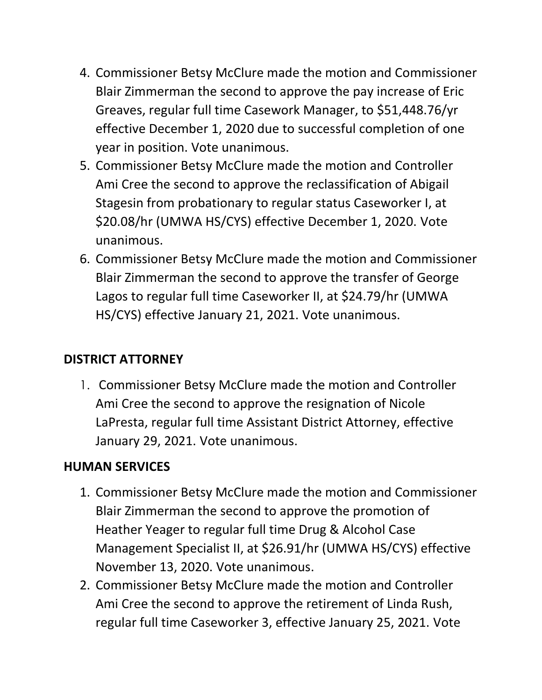- 4. Commissioner Betsy McClure made the motion and Commissioner Blair Zimmerman the second to approve the pay increase of Eric Greaves, regular full time Casework Manager, to \$51,448.76/yr effective December 1, 2020 due to successful completion of one year in position. Vote unanimous.
- 5. Commissioner Betsy McClure made the motion and Controller Ami Cree the second to approve the reclassification of Abigail Stagesin from probationary to regular status Caseworker I, at \$20.08/hr (UMWA HS/CYS) effective December 1, 2020. Vote unanimous.
- 6. Commissioner Betsy McClure made the motion and Commissioner Blair Zimmerman the second to approve the transfer of George Lagos to regular full time Caseworker II, at \$24.79/hr (UMWA HS/CYS) effective January 21, 2021. Vote unanimous.

### **DISTRICT ATTORNEY**

1. Commissioner Betsy McClure made the motion and Controller Ami Cree the second to approve the resignation of Nicole LaPresta, regular full time Assistant District Attorney, effective January 29, 2021. Vote unanimous.

### **HUMAN SERVICES**

- 1. Commissioner Betsy McClure made the motion and Commissioner Blair Zimmerman the second to approve the promotion of Heather Yeager to regular full time Drug & Alcohol Case Management Specialist II, at \$26.91/hr (UMWA HS/CYS) effective November 13, 2020. Vote unanimous.
- 2. Commissioner Betsy McClure made the motion and Controller Ami Cree the second to approve the retirement of Linda Rush, regular full time Caseworker 3, effective January 25, 2021. Vote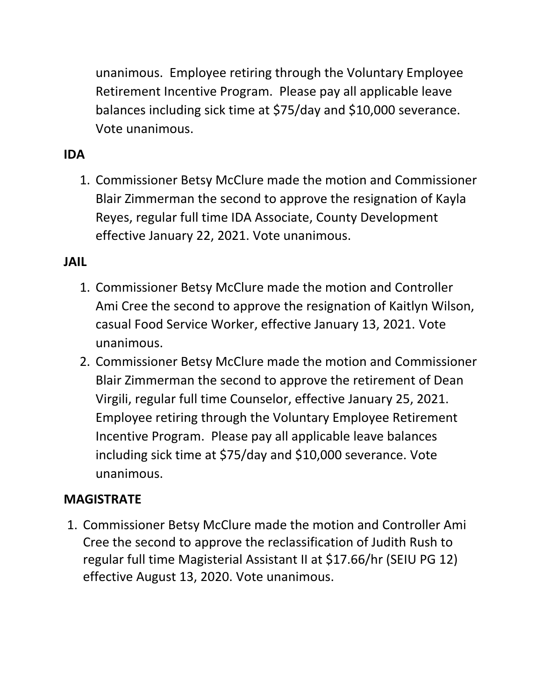unanimous. Employee retiring through the Voluntary Employee Retirement Incentive Program. Please pay all applicable leave balances including sick time at \$75/day and \$10,000 severance. Vote unanimous.

### **IDA**

1. Commissioner Betsy McClure made the motion and Commissioner Blair Zimmerman the second to approve the resignation of Kayla Reyes, regular full time IDA Associate, County Development effective January 22, 2021. Vote unanimous.

#### **JAIL**

- 1. Commissioner Betsy McClure made the motion and Controller Ami Cree the second to approve the resignation of Kaitlyn Wilson, casual Food Service Worker, effective January 13, 2021. Vote unanimous.
- 2. Commissioner Betsy McClure made the motion and Commissioner Blair Zimmerman the second to approve the retirement of Dean Virgili, regular full time Counselor, effective January 25, 2021. Employee retiring through the Voluntary Employee Retirement Incentive Program. Please pay all applicable leave balances including sick time at \$75/day and \$10,000 severance. Vote unanimous.

#### **MAGISTRATE**

1. Commissioner Betsy McClure made the motion and Controller Ami Cree the second to approve the reclassification of Judith Rush to regular full time Magisterial Assistant II at \$17.66/hr (SEIU PG 12) effective August 13, 2020. Vote unanimous.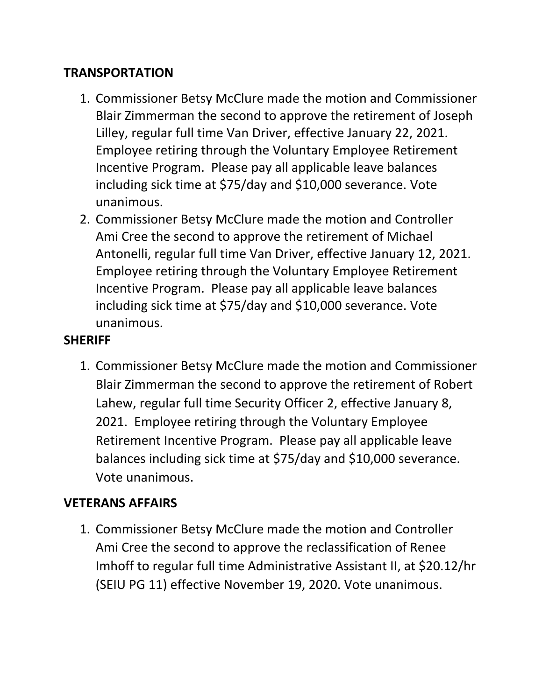### **TRANSPORTATION**

- 1. Commissioner Betsy McClure made the motion and Commissioner Blair Zimmerman the second to approve the retirement of Joseph Lilley, regular full time Van Driver, effective January 22, 2021. Employee retiring through the Voluntary Employee Retirement Incentive Program. Please pay all applicable leave balances including sick time at \$75/day and \$10,000 severance. Vote unanimous.
- 2. Commissioner Betsy McClure made the motion and Controller Ami Cree the second to approve the retirement of Michael Antonelli, regular full time Van Driver, effective January 12, 2021. Employee retiring through the Voluntary Employee Retirement Incentive Program. Please pay all applicable leave balances including sick time at \$75/day and \$10,000 severance. Vote unanimous.

#### **SHERIFF**

1. Commissioner Betsy McClure made the motion and Commissioner Blair Zimmerman the second to approve the retirement of Robert Lahew, regular full time Security Officer 2, effective January 8, 2021. Employee retiring through the Voluntary Employee Retirement Incentive Program. Please pay all applicable leave balances including sick time at \$75/day and \$10,000 severance. Vote unanimous.

#### **VETERANS AFFAIRS**

1. Commissioner Betsy McClure made the motion and Controller Ami Cree the second to approve the reclassification of Renee Imhoff to regular full time Administrative Assistant II, at \$20.12/hr (SEIU PG 11) effective November 19, 2020. Vote unanimous.